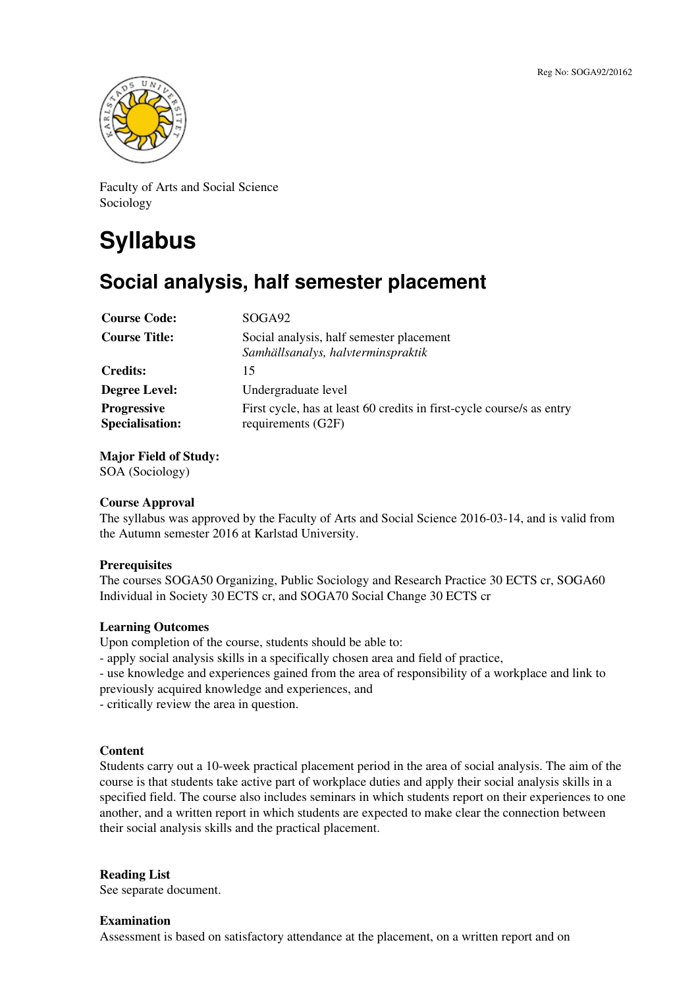

Faculty of Arts and Social Science Sociology

# **Syllabus**

# **Social analysis, half semester placement**

| <b>Course Code:</b>                          | SOGA <sub>92</sub>                                                                          |
|----------------------------------------------|---------------------------------------------------------------------------------------------|
| <b>Course Title:</b>                         | Social analysis, half semester placement<br>Samhällsanalys, halvterminspraktik              |
| <b>Credits:</b>                              | 15                                                                                          |
| <b>Degree Level:</b>                         | Undergraduate level                                                                         |
| <b>Progressive</b><br><b>Specialisation:</b> | First cycle, has at least 60 credits in first-cycle course/s as entry<br>requirements (G2F) |

**Major Field of Study:**

SOA (Sociology)

# **Course Approval**

The syllabus was approved by the Faculty of Arts and Social Science 2016-03-14, and is valid from the Autumn semester 2016 at Karlstad University.

# **Prerequisites**

The courses SOGA50 Organizing, Public Sociology and Research Practice 30 ECTS cr, SOGA60 Individual in Society 30 ECTS cr, and SOGA70 Social Change 30 ECTS cr

# **Learning Outcomes**

Upon completion of the course, students should be able to:

- apply social analysis skills in a specifically chosen area and field of practice,

- use knowledge and experiences gained from the area of responsibility of a workplace and link to previously acquired knowledge and experiences, and

- critically review the area in question.

# **Content**

Students carry out a 10-week practical placement period in the area of social analysis. The aim of the course is that students take active part of workplace duties and apply their social analysis skills in a specified field. The course also includes seminars in which students report on their experiences to one another, and a written report in which students are expected to make clear the connection between their social analysis skills and the practical placement.

# **Reading List**

See separate document.

#### **Examination**

Assessment is based on satisfactory attendance at the placement, on a written report and on